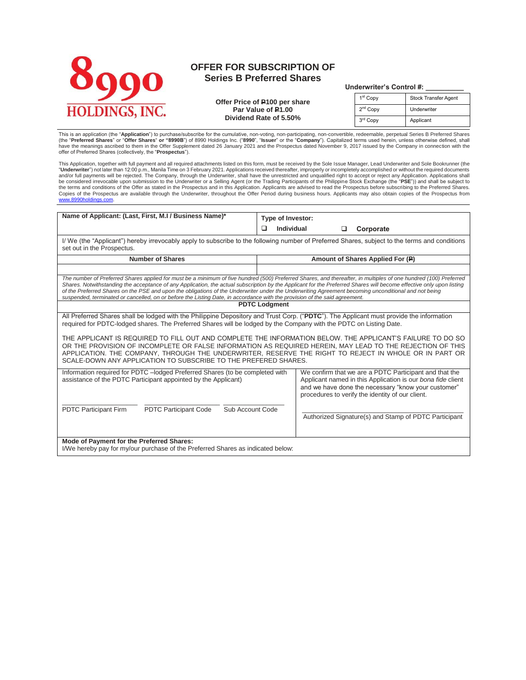

# **OFFER FOR SUBSCRIPTION OF Series B Preferred Shares**

# **Underwriter's Control #: \_\_\_\_\_\_\_\_\_\_**

**Offer Price of P100 per share Par Value of P1.00 Dividend Rate of 5.50%**

| $r = r$              |                             |  |  |  |  |
|----------------------|-----------------------------|--|--|--|--|
| 1 <sup>st</sup> Copy | <b>Stock Transfer Agent</b> |  |  |  |  |
| 2 <sup>nd</sup> Copy | Underwriter                 |  |  |  |  |
| 3rd Copy             | Applicant                   |  |  |  |  |

This is an application (the "Application") to purchase/subscribe for the cumulative, non-voting, non-participating, non-convertible, redeemable, perpetual Series B Preferred Shares (the "**Preferred Shares**" or "**Offer Shares" or "8990B**") of 8990 Holdings Inc. ("**8990", "Issuer**" or the "**Company**"). Capitalized terms used herein, unless otherwise defined, shall<br>have the meanings ascribed to them in

This Application, together with full payment and all required attachments listed on this form, must be received by the Sole Issue Manager, Lead Underwriter and Sole Bookrunner (the "**Underwriter**") not later than 12:00 p.m., Manila Time on 3 February 2021. Applications received thereafter, improperly or incompletely accomplished or without the required documents<br>and/or full payments will be rejected. the terms and conditions of the Offer as stated in the Prospectus and in this Application. Applicants are advised to read the Prospectus before subscribing to the Preferred Shares. Copies of the Prospectus are available through the Underwriter, throughout the Offer Period during business hours. Applicants may also obtain copies of the Prospectus from [www.8990holdings.com.](http://www.8990housing.com/) 

| Name of Applicant: (Last, First, M.I / Business Name)*                                                                                                                                                                                                                                                                                                                                                                                                                                                                                                                                                                                                                | Type of Investor:                                                                                                                                                                                                                |  |  |  |  |
|-----------------------------------------------------------------------------------------------------------------------------------------------------------------------------------------------------------------------------------------------------------------------------------------------------------------------------------------------------------------------------------------------------------------------------------------------------------------------------------------------------------------------------------------------------------------------------------------------------------------------------------------------------------------------|----------------------------------------------------------------------------------------------------------------------------------------------------------------------------------------------------------------------------------|--|--|--|--|
|                                                                                                                                                                                                                                                                                                                                                                                                                                                                                                                                                                                                                                                                       | □<br>Individual<br>Corporate<br>□                                                                                                                                                                                                |  |  |  |  |
| I/ We (the "Applicant") hereby irrevocably apply to subscribe to the following number of Preferred Shares, subject to the terms and conditions<br>set out in the Prospectus.                                                                                                                                                                                                                                                                                                                                                                                                                                                                                          |                                                                                                                                                                                                                                  |  |  |  |  |
| <b>Number of Shares</b>                                                                                                                                                                                                                                                                                                                                                                                                                                                                                                                                                                                                                                               | Amount of Shares Applied For (P)                                                                                                                                                                                                 |  |  |  |  |
|                                                                                                                                                                                                                                                                                                                                                                                                                                                                                                                                                                                                                                                                       |                                                                                                                                                                                                                                  |  |  |  |  |
| The number of Preferred Shares applied for must be a minimum of five hundred (500) Preferred Shares, and thereafter, in multiples of one hundred (100) Preferred<br>Shares. Notwithstanding the acceptance of any Application, the actual subscription by the Applicant for the Preferred Shares will become effective only upon listing<br>of the Preferred Shares on the PSE and upon the obligations of the Underwriter under the Underwriting Agreement becoming unconditional and not being<br>suspended, terminated or cancelled, on or before the Listing Date, in accordance with the provision of the said agreement.                                        |                                                                                                                                                                                                                                  |  |  |  |  |
|                                                                                                                                                                                                                                                                                                                                                                                                                                                                                                                                                                                                                                                                       | <b>PDTC Lodgment</b>                                                                                                                                                                                                             |  |  |  |  |
| All Preferred Shares shall be lodged with the Philippine Depository and Trust Corp. ("PDTC"). The Applicant must provide the information<br>required for PDTC-lodged shares. The Preferred Shares will be lodged by the Company with the PDTC on Listing Date.<br>THE APPLICANT IS REQUIRED TO FILL OUT AND COMPLETE THE INFORMATION BELOW. THE APPLICANT'S FAILURE TO DO SO<br>OR THE PROVISION OF INCOMPLETE OR FALSE INFORMATION AS REQUIRED HEREIN, MAY LEAD TO THE REJECTION OF THIS<br>APPLICATION. THE COMPANY, THROUGH THE UNDERWRITER, RESERVE THE RIGHT TO REJECT IN WHOLE OR IN PART OR<br>SCALE-DOWN ANY APPLICATION TO SUBSCRIBE TO THE PREFERED SHARES. |                                                                                                                                                                                                                                  |  |  |  |  |
| Information required for PDTC - lodged Preferred Shares (to be completed with<br>assistance of the PDTC Participant appointed by the Applicant)                                                                                                                                                                                                                                                                                                                                                                                                                                                                                                                       | We confirm that we are a PDTC Participant and that the<br>Applicant named in this Application is our bona fide client<br>and we have done the necessary "know your customer"<br>procedures to verify the identity of our client. |  |  |  |  |
| <b>PDTC Participant Firm</b><br><b>PDTC Participant Code</b><br>Sub Account Code<br>Mode of Payment for the Preferred Shares:                                                                                                                                                                                                                                                                                                                                                                                                                                                                                                                                         | Authorized Signature(s) and Stamp of PDTC Participant                                                                                                                                                                            |  |  |  |  |
| I/We hereby pay for my/our purchase of the Preferred Shares as indicated below:                                                                                                                                                                                                                                                                                                                                                                                                                                                                                                                                                                                       |                                                                                                                                                                                                                                  |  |  |  |  |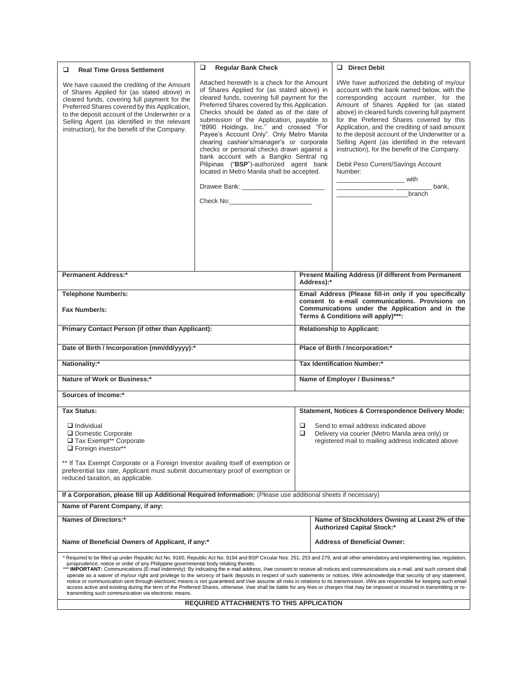| □<br><b>Real Time Gross Settlement</b>                                                                                                                                                                                                                                                                                                                                                                                                                                                                                                                                                                         | ❏<br><b>Regular Bank Check</b>                                                                                                                                                                                                                                                                                                                                                                                                                                                                                                                                                                                                                   |                                                    |                                                                                                                                          | $\Box$ Direct Debit                                                                                                                                                                                                                                                                                                                                                                                                                                                                                                              |  |
|----------------------------------------------------------------------------------------------------------------------------------------------------------------------------------------------------------------------------------------------------------------------------------------------------------------------------------------------------------------------------------------------------------------------------------------------------------------------------------------------------------------------------------------------------------------------------------------------------------------|--------------------------------------------------------------------------------------------------------------------------------------------------------------------------------------------------------------------------------------------------------------------------------------------------------------------------------------------------------------------------------------------------------------------------------------------------------------------------------------------------------------------------------------------------------------------------------------------------------------------------------------------------|----------------------------------------------------|------------------------------------------------------------------------------------------------------------------------------------------|----------------------------------------------------------------------------------------------------------------------------------------------------------------------------------------------------------------------------------------------------------------------------------------------------------------------------------------------------------------------------------------------------------------------------------------------------------------------------------------------------------------------------------|--|
| We have caused the crediting of the Amount<br>of Shares Applied for (as stated above) in<br>cleared funds, covering full payment for the<br>Preferred Shares covered by this Application,<br>to the deposit account of the Underwriter or a<br>Selling Agent (as identified in the relevant<br>instruction), for the benefit of the Company.                                                                                                                                                                                                                                                                   | Attached herewith is a check for the Amount<br>of Shares Applied for (as stated above) in<br>cleared funds, covering full payment for the<br>Preferred Shares covered by this Application.<br>Checks should be dated as of the date of<br>submission of the Application, payable to<br>"8990 Holdings, Inc." and crossed "For<br>Payee's Account Only". Only Metro Manila<br>clearing cashier's/manager's or corporate<br>checks or personal checks drawn against a<br>bank account with a Bangko Sentral ng<br>Pilipinas ("BSP")-authorized agent bank<br>located in Metro Manila shall be accepted.<br>Drawee Bank: __________________________ |                                                    |                                                                                                                                          | I/We have authorized the debiting of my/our<br>account with the bank named below, with the<br>corresponding account number, for the<br>Amount of Shares Applied for (as stated<br>above) in cleared funds covering full payment<br>for the Preferred Shares covered by this<br>Application, and the crediting of said amount<br>to the deposit account of the Underwriter or a<br>Selling Agent (as identified in the relevant<br>instruction), for the benefit of the Company.<br>Debit Peso Current/Savings Account<br>Number: |  |
| <b>Permanent Address:*</b>                                                                                                                                                                                                                                                                                                                                                                                                                                                                                                                                                                                     |                                                                                                                                                                                                                                                                                                                                                                                                                                                                                                                                                                                                                                                  |                                                    |                                                                                                                                          | Present Mailing Address (if different from Permanent                                                                                                                                                                                                                                                                                                                                                                                                                                                                             |  |
|                                                                                                                                                                                                                                                                                                                                                                                                                                                                                                                                                                                                                |                                                                                                                                                                                                                                                                                                                                                                                                                                                                                                                                                                                                                                                  |                                                    | Address):*                                                                                                                               |                                                                                                                                                                                                                                                                                                                                                                                                                                                                                                                                  |  |
| <b>Telephone Number/s:</b>                                                                                                                                                                                                                                                                                                                                                                                                                                                                                                                                                                                     |                                                                                                                                                                                                                                                                                                                                                                                                                                                                                                                                                                                                                                                  |                                                    | Email Address (Please fill-in only if you specifically                                                                                   |                                                                                                                                                                                                                                                                                                                                                                                                                                                                                                                                  |  |
| Fax Number/s:                                                                                                                                                                                                                                                                                                                                                                                                                                                                                                                                                                                                  |                                                                                                                                                                                                                                                                                                                                                                                                                                                                                                                                                                                                                                                  |                                                    | consent to e-mail communications. Provisions on<br>Communications under the Application and in the<br>Terms & Conditions will apply)***: |                                                                                                                                                                                                                                                                                                                                                                                                                                                                                                                                  |  |
| Primary Contact Person (if other than Applicant):                                                                                                                                                                                                                                                                                                                                                                                                                                                                                                                                                              |                                                                                                                                                                                                                                                                                                                                                                                                                                                                                                                                                                                                                                                  | <b>Relationship to Applicant:</b>                  |                                                                                                                                          |                                                                                                                                                                                                                                                                                                                                                                                                                                                                                                                                  |  |
| Date of Birth / Incorporation (mm/dd/yyyy):*                                                                                                                                                                                                                                                                                                                                                                                                                                                                                                                                                                   |                                                                                                                                                                                                                                                                                                                                                                                                                                                                                                                                                                                                                                                  | Place of Birth / Incorporation:*                   |                                                                                                                                          |                                                                                                                                                                                                                                                                                                                                                                                                                                                                                                                                  |  |
| Nationality:*                                                                                                                                                                                                                                                                                                                                                                                                                                                                                                                                                                                                  |                                                                                                                                                                                                                                                                                                                                                                                                                                                                                                                                                                                                                                                  | Tax Identification Number:*                        |                                                                                                                                          |                                                                                                                                                                                                                                                                                                                                                                                                                                                                                                                                  |  |
|                                                                                                                                                                                                                                                                                                                                                                                                                                                                                                                                                                                                                |                                                                                                                                                                                                                                                                                                                                                                                                                                                                                                                                                                                                                                                  |                                                    |                                                                                                                                          |                                                                                                                                                                                                                                                                                                                                                                                                                                                                                                                                  |  |
| Nature of Work or Business:*                                                                                                                                                                                                                                                                                                                                                                                                                                                                                                                                                                                   |                                                                                                                                                                                                                                                                                                                                                                                                                                                                                                                                                                                                                                                  | Name of Employer / Business:*                      |                                                                                                                                          |                                                                                                                                                                                                                                                                                                                                                                                                                                                                                                                                  |  |
| Sources of Income:*                                                                                                                                                                                                                                                                                                                                                                                                                                                                                                                                                                                            |                                                                                                                                                                                                                                                                                                                                                                                                                                                                                                                                                                                                                                                  |                                                    |                                                                                                                                          |                                                                                                                                                                                                                                                                                                                                                                                                                                                                                                                                  |  |
| Tax Status:                                                                                                                                                                                                                                                                                                                                                                                                                                                                                                                                                                                                    |                                                                                                                                                                                                                                                                                                                                                                                                                                                                                                                                                                                                                                                  | Statement, Notices & Correspondence Delivery Mode: |                                                                                                                                          |                                                                                                                                                                                                                                                                                                                                                                                                                                                                                                                                  |  |
| $\Box$ Individual                                                                                                                                                                                                                                                                                                                                                                                                                                                                                                                                                                                              |                                                                                                                                                                                                                                                                                                                                                                                                                                                                                                                                                                                                                                                  | □                                                  |                                                                                                                                          | Send to email address indicated above                                                                                                                                                                                                                                                                                                                                                                                                                                                                                            |  |
| Domestic Corporate                                                                                                                                                                                                                                                                                                                                                                                                                                                                                                                                                                                             |                                                                                                                                                                                                                                                                                                                                                                                                                                                                                                                                                                                                                                                  | ❏                                                  |                                                                                                                                          | Delivery via courier (Metro Manila area only) or                                                                                                                                                                                                                                                                                                                                                                                                                                                                                 |  |
| Tax Exempt** Corporate<br>Foreign investor**                                                                                                                                                                                                                                                                                                                                                                                                                                                                                                                                                                   |                                                                                                                                                                                                                                                                                                                                                                                                                                                                                                                                                                                                                                                  |                                                    |                                                                                                                                          | registered mail to mailing address indicated above                                                                                                                                                                                                                                                                                                                                                                                                                                                                               |  |
|                                                                                                                                                                                                                                                                                                                                                                                                                                                                                                                                                                                                                |                                                                                                                                                                                                                                                                                                                                                                                                                                                                                                                                                                                                                                                  |                                                    |                                                                                                                                          |                                                                                                                                                                                                                                                                                                                                                                                                                                                                                                                                  |  |
| ** If Tax Exempt Corporate or a Foreign Investor availing itself of exemption or<br>preferential tax rate, Applicant must submit documentary proof of exemption or<br>reduced taxation, as applicable.                                                                                                                                                                                                                                                                                                                                                                                                         |                                                                                                                                                                                                                                                                                                                                                                                                                                                                                                                                                                                                                                                  |                                                    |                                                                                                                                          |                                                                                                                                                                                                                                                                                                                                                                                                                                                                                                                                  |  |
| If a Corporation, please fill up Additional Required Information: (Please use additional sheets if necessary)                                                                                                                                                                                                                                                                                                                                                                                                                                                                                                  |                                                                                                                                                                                                                                                                                                                                                                                                                                                                                                                                                                                                                                                  |                                                    |                                                                                                                                          |                                                                                                                                                                                                                                                                                                                                                                                                                                                                                                                                  |  |
| Name of Parent Company, if any:                                                                                                                                                                                                                                                                                                                                                                                                                                                                                                                                                                                |                                                                                                                                                                                                                                                                                                                                                                                                                                                                                                                                                                                                                                                  |                                                    |                                                                                                                                          |                                                                                                                                                                                                                                                                                                                                                                                                                                                                                                                                  |  |
| Names of Directors:*                                                                                                                                                                                                                                                                                                                                                                                                                                                                                                                                                                                           |                                                                                                                                                                                                                                                                                                                                                                                                                                                                                                                                                                                                                                                  |                                                    |                                                                                                                                          | Name of Stockholders Owning at Least 2% of the<br><b>Authorized Capital Stock:*</b>                                                                                                                                                                                                                                                                                                                                                                                                                                              |  |
| Name of Beneficial Owners of Applicant, if any:*                                                                                                                                                                                                                                                                                                                                                                                                                                                                                                                                                               |                                                                                                                                                                                                                                                                                                                                                                                                                                                                                                                                                                                                                                                  |                                                    | <b>Address of Beneficial Owner:</b>                                                                                                      |                                                                                                                                                                                                                                                                                                                                                                                                                                                                                                                                  |  |
|                                                                                                                                                                                                                                                                                                                                                                                                                                                                                                                                                                                                                |                                                                                                                                                                                                                                                                                                                                                                                                                                                                                                                                                                                                                                                  |                                                    |                                                                                                                                          | * Required to be filled up under Republic Act No. 9160, Republic Act No. 9194 and BSP Circular Nos. 251, 253 and 279, and all other amendatory and implementing law, regulation,                                                                                                                                                                                                                                                                                                                                                 |  |
| jurisprudence, notice or order of any Philippine governmental body relating thereto.<br>***IMPORTANT: Communications (E-mail Indemnity): By indicating the e-mail address, I/we consent to receive all notices and communications via e-mail, and such consent shall                                                                                                                                                                                                                                                                                                                                           |                                                                                                                                                                                                                                                                                                                                                                                                                                                                                                                                                                                                                                                  |                                                    |                                                                                                                                          |                                                                                                                                                                                                                                                                                                                                                                                                                                                                                                                                  |  |
| operate as a waiver of my/our right and privilege to the secrecy of bank deposits in respect of such statements or notices. I/We acknowledge that security of any statement,<br>notice or communication sent through electronic means is not guaranteed and I/we assume all risks in relations to its transmission. I/We are responsible for keeping such email<br>access active and existing during the term of the Preferred Shares, otherwise, I/we shall be liable for any fees or charges that may be imposed or incurred in transmitting or re-<br>transmitting such communication via electronic means. |                                                                                                                                                                                                                                                                                                                                                                                                                                                                                                                                                                                                                                                  |                                                    |                                                                                                                                          |                                                                                                                                                                                                                                                                                                                                                                                                                                                                                                                                  |  |
| <b>REQUIRED ATTACHMENTS TO THIS APPLICATION</b>                                                                                                                                                                                                                                                                                                                                                                                                                                                                                                                                                                |                                                                                                                                                                                                                                                                                                                                                                                                                                                                                                                                                                                                                                                  |                                                    |                                                                                                                                          |                                                                                                                                                                                                                                                                                                                                                                                                                                                                                                                                  |  |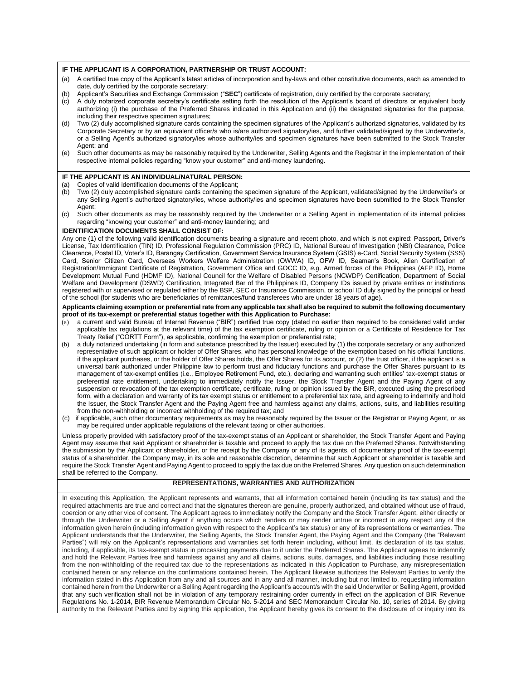#### **IF THE APPLICANT IS A CORPORATION, PARTNERSHIP OR TRUST ACCOUNT:**

- (a) A certified true copy of the Applicant's latest articles of incorporation and by-laws and other constitutive documents, each as amended to date, duly certified by the corporate secretary;
- (b) Applicant's Securities and Exchange Commission ("**SEC**") certificate of registration, duly certified by the corporate secretary;
- (c) A duly notarized corporate secretary's certificate setting forth the resolution of the Applicant's board of directors or equivalent body authorizing (i) the purchase of the Preferred Shares indicated in this Application and (ii) the designated signatories for the purpose, including their respective specimen signatures;
- (d) Two (2) duly accomplished signature cards containing the specimen signatures of the Applicant's authorized signatories, validated by its Corporate Secretary or by an equivalent officer/s who is/are authorized signatory/ies, and further validated/signed by the Underwriter's, or a Selling Agent's authorized signatory/ies whose authority/ies and specimen signatures have been submitted to the Stock Transfer Agent: and
- (e) Such other documents as may be reasonably required by the Underwriter, Selling Agents and the Registrar in the implementation of their respective internal policies regarding "know your customer" and anti-money laundering.

## **IF THE APPLICANT IS AN INDIVIDUAL/NATURAL PERSON:**

- (a) Copies of valid identification documents of the Applicant;
- (b) Two (2) duly accomplished signature cards containing the specimen signature of the Applicant, validated/signed by the Underwriter's or any Selling Agent's authorized signatory/ies, whose authority/ies and specimen signatures have been submitted to the Stock Transfer Agent;
- (c) Such other documents as may be reasonably required by the Underwriter or a Selling Agent in implementation of its internal policies regarding "knowing your customer" and anti-money laundering; and

#### **IDENTIFICATION DOCUMENTS SHALL CONSIST OF:**

Any one (1) of the following valid identification documents bearing a signature and recent photo, and which is not expired: Passport, Driver's License, Tax Identification (TIN) ID, Professional Regulation Commission (PRC) ID, National Bureau of Investigation (NBI) Clearance, Police Clearance, Postal ID, Voter's ID, Barangay Certification, Government Service Insurance System (GSIS) e-Card, Social Security System (SSS) Card, Senior Citizen Card, Overseas Workers Welfare Administration (OWWA) ID, OFW ID, Seaman's Book, Alien Certification of Registration/Immigrant Certificate of Registration, Government Office and GOCC ID, *e.g*. Armed forces of the Philippines (AFP ID), Home Development Mutual Fund (HDMF ID), National Council for the Welfare of Disabled Persons (NCWDP) Certification, Department of Social Welfare and Development (DSWD) Certification, Integrated Bar of the Philippines ID, Company IDs issued by private entities or institutions registered with or supervised or regulated either by the BSP, SEC or Insurance Commission, or school ID duly signed by the principal or head of the school (for students who are beneficiaries of remittances/fund transferees who are under 18 years of age).

#### **Applicants claiming exemption or preferential rate from any applicable tax shall also be required to submit the following documentary proof of its tax-exempt or preferential status together with this Application to Purchase:**

- (a) a current and valid Bureau of Internal Revenue ("BIR") certified true copy (dated no earlier than required to be considered valid under applicable tax regulations at the relevant time) of the tax exemption certificate, ruling or opinion or a Certificate of Residence for Tax Treaty Relief ("CORTT Form"), as applicable, confirming the exemption or preferential rate;
- a duly notarized undertaking (in form and substance prescribed by the Issuer) executed by (1) the corporate secretary or any authorized representative of such applicant or holder of Offer Shares, who has personal knowledge of the exemption based on his official functions, if the applicant purchases, or the holder of Offer Shares holds, the Offer Shares for its account, or (2) the trust officer, if the applicant is a universal bank authorized under Philippine law to perform trust and fiduciary functions and purchase the Offer Shares pursuant to its management of tax-exempt entities (i.e., Employee Retirement Fund, etc.), declaring and warranting such entities' tax-exempt status or preferential rate entitlement, undertaking to immediately notify the Issuer, the Stock Transfer Agent and the Paying Agent of any suspension or revocation of the tax exemption certificate, certificate, ruling or opinion issued by the BIR, executed using the prescribed form, with a declaration and warranty of its tax exempt status or entitlement to a preferential tax rate, and agreeing to indemnify and hold the Issuer, the Stock Transfer Agent and the Paying Agent free and harmless against any claims, actions, suits, and liabilities resulting from the non-withholding or incorrect withholding of the required tax; and
- (c) if applicable, such other documentary requirements as may be reasonably required by the Issuer or the Registrar or Paying Agent, or as may be required under applicable regulations of the relevant taxing or other authorities.

Unless properly provided with satisfactory proof of the tax-exempt status of an Applicant or shareholder, the Stock Transfer Agent and Paying Agent may assume that said Applicant or shareholder is taxable and proceed to apply the tax due on the Preferred Shares. Notwithstanding the submission by the Applicant or shareholder, or the receipt by the Company or any of its agents, of documentary proof of the tax-exempt status of a shareholder, the Company may, in its sole and reasonable discretion, determine that such Applicant or shareholder is taxable and require the Stock Transfer Agent and Paying Agent to proceed to apply the tax due on the Preferred Shares. Any question on such determination shall be referred to the Company.

## **REPRESENTATIONS, WARRANTIES AND AUTHORIZATION**

In executing this Application, the Applicant represents and warrants, that all information contained herein (including its tax status) and the required attachments are true and correct and that the signatures thereon are genuine, properly authorized, and obtained without use of fraud, coercion or any other vice of consent. The Applicant agrees to immediately notify the Company and the Stock Transfer Agent, either directly or through the Underwriter or a Selling Agent if anything occurs which renders or may render untrue or incorrect in any respect any of the information given herein (including information given with respect to the Applicant's tax status) or any of its representations or warranties. The Applicant understands that the Underwriter, the Selling Agents, the Stock Transfer Agent, the Paying Agent and the Company (the "Relevant Parties") will rely on the Applicant's representations and warranties set forth herein including, without limit, its declaration of its tax status, including, if applicable, its tax-exempt status in processing payments due to it under the Preferred Shares. The Applicant agrees to indemnify and hold the Relevant Parties free and harmless against any and all claims, actions, suits, damages, and liabilities including those resulting from the non-withholding of the required tax due to the representations as indicated in this Application to Purchase, any misrepresentation contained herein or any reliance on the confirmations contained herein. The Applicant likewise authorizes the Relevant Parties to verify the information stated in this Application from any and all sources and in any and all manner, including but not limited to, requesting information contained herein from the Underwriter or a Selling Agent regarding the Applicant's account/s with the said Underwriter or Selling Agent, provided that any such verification shall not be in violation of any temporary restraining order currently in effect on the application of BIR Revenue Regulations No. 1-2014, BIR Revenue Memorandum Circular No. 5-2014 and SEC Memorandum Circular No. 10, series of 2014. By giving authority to the Relevant Parties and by signing this application, the Applicant hereby gives its consent to the disclosure of or inquiry into its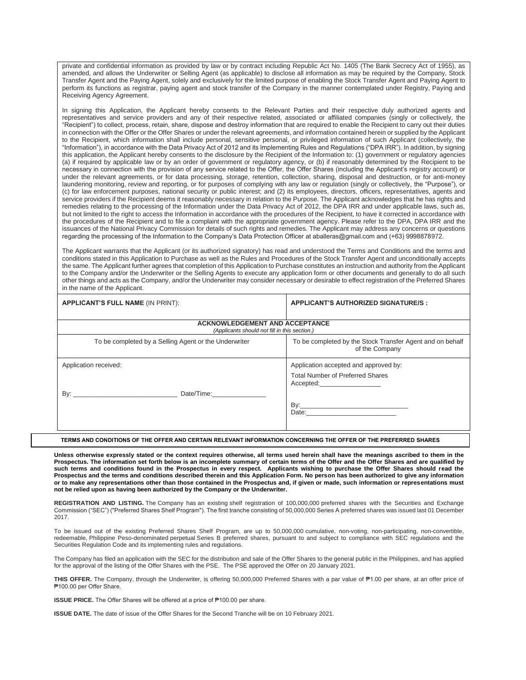private and confidential information as provided by law or by contract including Republic Act No. 1405 (The Bank Secrecy Act of 1955), as amended, and allows the Underwriter or Selling Agent (as applicable) to disclose all information as may be required by the Company, Stock Transfer Agent and the Paying Agent, solely and exclusively for the limited purpose of enabling the Stock Transfer Agent and Paying Agent to perform its functions as registrar, paying agent and stock transfer of the Company in the manner contemplated under Registry, Paying and Receiving Agency Agreement.

In signing this Application, the Applicant hereby consents to the Relevant Parties and their respective duly authorized agents and representatives and service providers and any of their respective related, associated or affiliated companies (singly or collectively, the "Recipient") to collect, process, retain, share, dispose and destroy information that are required to enable the Recipient to carry out their duties in connection with the Offer or the Offer Shares or under the relevant agreements, and information contained herein or supplied by the Applicant to the Recipient, which information shall include personal, sensitive personal, or privileged information of such Applicant (collectively, the "Information"), in accordance with the Data Privacy Act of 2012 and its Implementing Rules and Regulations ("DPA IRR"). In addition, by signing this application, the Applicant hereby consents to the disclosure by the Recipient of the Information to: (1) government or regulatory agencies (a) if required by applicable law or by an order of government or regulatory agency, or (b) if reasonably determined by the Recipient to be necessary in connection with the provision of any service related to the Offer, the Offer Shares (including the Applicant's registry account) or under the relevant agreements, or for data processing, storage, retention, collection, sharing, disposal and destruction, or for anti-money laundering monitoring, review and reporting, or for purposes of complying with any law or regulation (singly or collectively, the "Purpose"), or (c) for law enforcement purposes, national security or public interest; and (2) its employees, directors, officers, representatives, agents and service providers if the Recipient deems it reasonably necessary in relation to the Purpose. The Applicant acknowledges that he has rights and remedies relating to the processing of the Information under the Data Privacy Act of 2012, the DPA IRR and under applicable laws, such as, but not limited to the right to access the Information in accordance with the procedures of the Recipient, to have it corrected in accordance with the procedures of the Recipient and to file a complaint with the appropriate government agency. Please refer to the DPA, DPA IRR and the issuances of the National Privacy Commission for details of such rights and remedies. The Applicant may address any concerns or questions regarding the processing of the Information to the Company's Data Protection Officer at aballeras@gmail.com and (+63) 9998878972.

The Applicant warrants that the Applicant (or its authorized signatory) has read and understood the Terms and Conditions and the terms and conditions stated in this Application to Purchase as well as the Rules and Procedures of the Stock Transfer Agent and unconditionally accepts the same. The Applicant further agrees that completion of this Application to Purchase constitutes an instruction and authority from the Applicant to the Company and/or the Underwriter or the Selling Agents to execute any application form or other documents and generally to do all such other things and acts as the Company, and/or the Underwriter may consider necessary or desirable to effect registration of the Preferred Shares in the name of the Applicant.

| <b>APPLICANT'S FULL NAME (IN PRINT):</b>              | <b>APPLICANT'S AUTHORIZED SIGNATURE/S:</b>                                  |  |  |  |  |  |
|-------------------------------------------------------|-----------------------------------------------------------------------------|--|--|--|--|--|
| <b>ACKNOWLEDGEMENT AND ACCEPTANCE</b>                 |                                                                             |  |  |  |  |  |
| (Applicants should not fill in this section.)         |                                                                             |  |  |  |  |  |
| To be completed by a Selling Agent or the Underwriter | To be completed by the Stock Transfer Agent and on behalf<br>of the Company |  |  |  |  |  |
| Application received:                                 | Application accepted and approved by:                                       |  |  |  |  |  |
|                                                       | <b>Total Number of Preferred Shares</b>                                     |  |  |  |  |  |
| Date/Time:                                            |                                                                             |  |  |  |  |  |

**TERMS AND CONDITIONS OF THE OFFER AND CERTAIN RELEVANT INFORMATION CONCERNING THE OFFER OF THE PREFERRED SHARES**

**Unless otherwise expressly stated or the context requires otherwise, all terms used herein shall have the meanings ascribed to them in the Prospectus. The information set forth below is an incomplete summary of certain terms of the Offer and the Offer Shares and are qualified by such terms and conditions found in the Prospectus in every respect. Applicants wishing to purchase the Offer Shares should read the Prospectus and the terms and conditions described therein and this Application Form. No person has been authorized to give any information or to make any representations other than those contained in the Prospectus and, if given or made, such information or representations must not be relied upon as having been authorized by the Company or the Underwriter.**

REGISTRATION AND LISTING. The Company has an existing shelf registration of 100,000,000 preferred shares with the Securities and Exchange Commission ("SEC") ("Preferred Shares Shelf Program"). The first tranche consisting of 50,000,000 Series A preferred shares was issued last 01 December 2017.

To be issued out of the existing Preferred Shares Shelf Program, are up to 50,000,000 cumulative, non-voting, non-participating, non-convertible, redeemable, Philippine Peso-denominated perpetual Series B preferred shares, pursuant to and subject to compliance with SEC regulations and the Securities Regulation Code and its implementing rules and regulations.

The Company has filed an application with the SEC for the distribution and sale of the Offer Shares to the general public in the Philippines, and has applied for the approval of the listing of the Offer Shares with the PSE. The PSE approved the Offer on 20 January 2021.

**THIS OFFER.** The Company, through the Underwriter, is offering 50,000,000 Preferred Shares with a par value of ₱1.00 per share, at an offer price of ₱100.00 per Offer Share.

**ISSUE PRICE.** The Offer Shares will be offered at a price of ₱100.00 per share.

**ISSUE DATE.** The date of issue of the Offer Shares for the Second Tranche will be on 10 February 2021.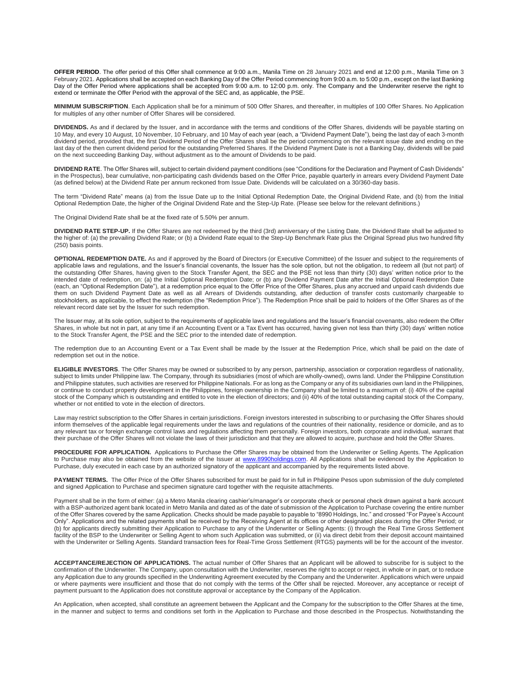**OFFER PERIOD**. The offer period of this Offer shall commence at 9:00 a.m., Manila Time on 28 January 2021 and end at 12:00 p.m., Manila Time on 3 February 2021. Applications shall be accepted on each Banking Day of the Offer Period commencing from 9:00 a.m. to 5:00 p.m., except on the last Banking Day of the Offer Period where applications shall be accepted from 9:00 a.m. to 12:00 p.m. only. The Company and the Underwriter reserve the right to extend or terminate the Offer Period with the approval of the SEC and, as applicable, the PSE.

**MINIMUM SUBSCRIPTION**. Each Application shall be for a minimum of 500 Offer Shares, and thereafter, in multiples of 100 Offer Shares. No Application for multiples of any other number of Offer Shares will be considered.

**DIVIDENDS.** As and if declared by the Issuer, and in accordance with the terms and conditions of the Offer Shares, dividends will be payable starting on 10 May, and every 10 August, 10 November, 10 February, and 10 May of each year (each, a "Dividend Payment Date"), being the last day of each 3-month dividend period, provided that, the first Dividend Period of the Offer Shares shall be the period commencing on the relevant issue date and ending on the last day of the then current dividend period for the outstanding Preferred Shares. If the Dividend Payment Date is not a Banking Day, dividends will be paid on the next succeeding Banking Day, without adjustment as to the amount of Dividends to be paid.

**DIVIDEND RATE**. The Offer Shares will, subject to certain dividend payment conditions (see "Conditions for the Declaration and Payment of Cash Dividends" in the Prospectus), bear cumulative, non-participating cash dividends based on the Offer Price, payable quarterly in arrears every Dividend Payment Date (as defined below) at the Dividend Rate per annum reckoned from Issue Date. Dividends will be calculated on a 30/360-day basis.

The term "Dividend Rate" means (a) from the Issue Date up to the Initial Optional Redemption Date, the Original Dividend Rate, and (b) from the Initial Optional Redemption Date, the higher of the Original Dividend Rate and the Step-Up Rate. (Please see below for the relevant definitions.)

The Original Dividend Rate shall be at the fixed rate of 5.50% per annum.

**DIVIDEND RATE STEP-UP.** If the Offer Shares are not redeemed by the third (3rd) anniversary of the Listing Date, the Dividend Rate shall be adjusted to the higher of: (a) the prevailing Dividend Rate; or (b) a Dividend Rate equal to the Step-Up Benchmark Rate plus the Original Spread plus two hundred fifty (250) basis points.

**OPTIONAL REDEMPTION DATE.** As and if approved by the Board of Directors (or Executive Committee) of the Issuer and subject to the requirements of applicable laws and regulations, and the Issuer's financial covenants, the Issuer has the sole option, but not the obligation, to redeem all (but not part) of the outstanding Offer Shares, having given to the Stock Transfer Agent, the SEC and the PSE not less than thirty (30) days' written notice prior to the intended date of redemption, on: (a) the Initial Optional Redemption Date; or (b) any Dividend Payment Date after the Initial Optional Redemption Date (each, an "Optional Redemption Date"), at a redemption price equal to the Offer Price of the Offer Shares, plus any accrued and unpaid cash dividends due them on such Dividend Payment Date as well as all Arrears of Dividends outstanding, after deduction of transfer costs customarily chargeable to stockholders, as applicable, to effect the redemption (the "Redemption Price"). The Redemption Price shall be paid to holders of the Offer Shares as of the relevant record date set by the Issuer for such redemption.

The Issuer may, at its sole option, subject to the requirements of applicable laws and regulations and the Issuer's financial covenants, also redeem the Offer Shares, in whole but not in part, at any time if an Accounting Event or a Tax Event has occurred, having given not less than thirty (30) days' written notice to the Stock Transfer Agent, the PSE and the SEC prior to the intended date of redemption.

The redemption due to an Accounting Event or a Tax Event shall be made by the Issuer at the Redemption Price, which shall be paid on the date of redemption set out in the notice.

**ELIGIBLE INVESTORS**. The Offer Shares may be owned or subscribed to by any person, partnership, association or corporation regardless of nationality, subject to limits under Philippine law. The Company, through its subsidiaries (most of which are wholly-owned), owns land. Under the Philippine Constitution and Philippine statutes, such activities are reserved for Philippine Nationals. For as long as the Company or any of its subsidiaries own land in the Philippines, or continue to conduct property development in the Philippines, foreign ownership in the Company shall be limited to a maximum of: (i) 40% of the capital stock of the Company which is outstanding and entitled to vote in the election of directors; and (ii) 40% of the total outstanding capital stock of the Company, whether or not entitled to vote in the election of directors.

Law may restrict subscription to the Offer Shares in certain jurisdictions. Foreign investors interested in subscribing to or purchasing the Offer Shares should inform themselves of the applicable legal requirements under the laws and regulations of the countries of their nationality, residence or domicile, and as to any relevant tax or foreign exchange control laws and regulations affecting them personally. Foreign investors, both corporate and individual, warrant that their purchase of the Offer Shares will not violate the laws of their jurisdiction and that they are allowed to acquire, purchase and hold the Offer Shares.

**PROCEDURE FOR APPLICATION.** Applications to Purchase the Offer Shares may be obtained from the Underwriter or Selling Agents. The Application to Purchase may also be obtained from the website of the Issuer at [www.8990holdings.com.](http://www.8990housing.com/) All Applications shall be evidenced by the Application to Purchase, duly executed in each case by an authorized signatory of the applicant and accompanied by the requirements listed above.

PAYMENT TERMS. The Offer Price of the Offer Shares subscribed for must be paid for in full in Philippine Pesos upon submission of the duly completed and signed Application to Purchase and specimen signature card together with the requisite attachments.

Payment shall be in the form of either: (a) a Metro Manila clearing cashier's/manager's or corporate check or personal check drawn against a bank account with a BSP-authorized agent bank located in Metro Manila and dated as of the date of submission of the Application to Purchase covering the entire number of the Offer Shares covered by the same Application. Checks should be made payable to payable to "8990 Holdings, Inc." and crossed "For Payee's Account Only". Applications and the related payments shall be received by the Receiving Agent at its offices or other designated places during the Offer Period; or (b) for applicants directly submitting their Application to Purchase to any of the Underwriter or Selling Agents: (i) through the Real Time Gross Settlement facility of the BSP to the Underwriter or Selling Agent to whom such Application was submitted, or (ii) via direct debit from their deposit account maintained with the Underwriter or Selling Agents. Standard transaction fees for Real-Time Gross Settlement (RTGS) payments will be for the account of the investor.

**ACCEPTANCE/REJECTION OF APPLICATIONS.** The actual number of Offer Shares that an Applicant will be allowed to subscribe for is subject to the confirmation of the Underwriter. The Company, upon consultation with the Underwriter, reserves the right to accept or reject, in whole or in part, or to reduce any Application due to any grounds specified in the Underwriting Agreement executed by the Company and the Underwriter. Applications which were unpaid or where payments were insufficient and those that do not comply with the terms of the Offer shall be rejected. Moreover, any acceptance or receipt of payment pursuant to the Application does not constitute approval or acceptance by the Company of the Application.

An Application, when accepted, shall constitute an agreement between the Applicant and the Company for the subscription to the Offer Shares at the time, in the manner and subject to terms and conditions set forth in the Application to Purchase and those described in the Prospectus. Notwithstanding the